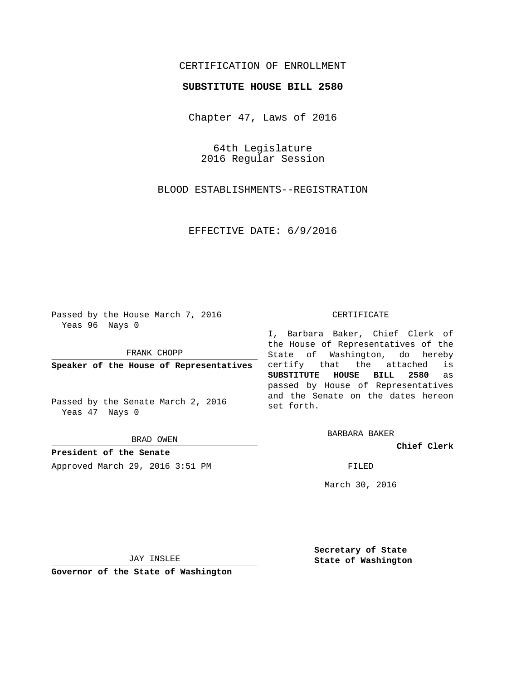## CERTIFICATION OF ENROLLMENT

## **SUBSTITUTE HOUSE BILL 2580**

Chapter 47, Laws of 2016

64th Legislature 2016 Regular Session

BLOOD ESTABLISHMENTS--REGISTRATION

EFFECTIVE DATE: 6/9/2016

Passed by the House March 7, 2016 Yeas 96 Nays 0

FRANK CHOPP

**Speaker of the House of Representatives**

Passed by the Senate March 2, 2016 Yeas 47 Nays 0

BRAD OWEN

**President of the Senate** Approved March 29, 2016 3:51 PM FILED

#### CERTIFICATE

I, Barbara Baker, Chief Clerk of the House of Representatives of the State of Washington, do hereby certify that the attached is **SUBSTITUTE HOUSE BILL 2580** as passed by House of Representatives and the Senate on the dates hereon set forth.

BARBARA BAKER

**Chief Clerk**

March 30, 2016

JAY INSLEE

**Governor of the State of Washington**

**Secretary of State State of Washington**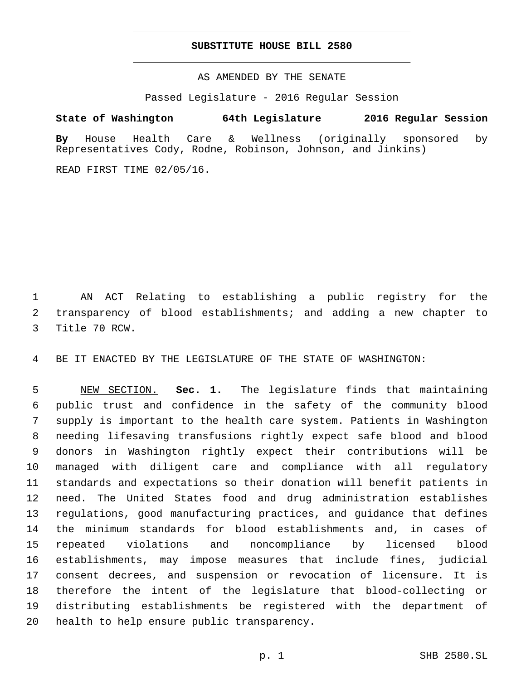### **SUBSTITUTE HOUSE BILL 2580**

AS AMENDED BY THE SENATE

Passed Legislature - 2016 Regular Session

# **State of Washington 64th Legislature 2016 Regular Session**

**By** House Health Care & Wellness (originally sponsored by Representatives Cody, Rodne, Robinson, Johnson, and Jinkins)

READ FIRST TIME 02/05/16.

 AN ACT Relating to establishing a public registry for the transparency of blood establishments; and adding a new chapter to 3 Title 70 RCW.

BE IT ENACTED BY THE LEGISLATURE OF THE STATE OF WASHINGTON:

 NEW SECTION. **Sec. 1.** The legislature finds that maintaining public trust and confidence in the safety of the community blood supply is important to the health care system. Patients in Washington needing lifesaving transfusions rightly expect safe blood and blood donors in Washington rightly expect their contributions will be managed with diligent care and compliance with all regulatory standards and expectations so their donation will benefit patients in need. The United States food and drug administration establishes regulations, good manufacturing practices, and guidance that defines the minimum standards for blood establishments and, in cases of repeated violations and noncompliance by licensed blood establishments, may impose measures that include fines, judicial consent decrees, and suspension or revocation of licensure. It is therefore the intent of the legislature that blood-collecting or distributing establishments be registered with the department of health to help ensure public transparency.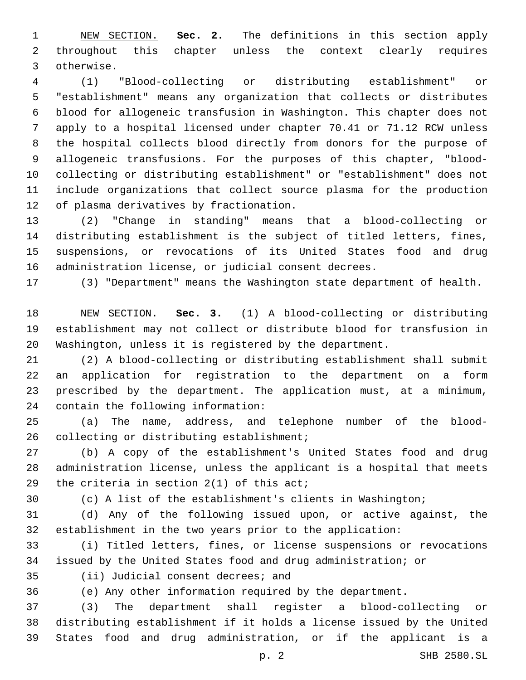NEW SECTION. **Sec. 2.** The definitions in this section apply throughout this chapter unless the context clearly requires otherwise.

 (1) "Blood-collecting or distributing establishment" or "establishment" means any organization that collects or distributes blood for allogeneic transfusion in Washington. This chapter does not apply to a hospital licensed under chapter 70.41 or 71.12 RCW unless the hospital collects blood directly from donors for the purpose of allogeneic transfusions. For the purposes of this chapter, "blood- collecting or distributing establishment" or "establishment" does not include organizations that collect source plasma for the production 12 of plasma derivatives by fractionation.

 (2) "Change in standing" means that a blood-collecting or distributing establishment is the subject of titled letters, fines, suspensions, or revocations of its United States food and drug administration license, or judicial consent decrees.

(3) "Department" means the Washington state department of health.

 NEW SECTION. **Sec. 3.** (1) A blood-collecting or distributing establishment may not collect or distribute blood for transfusion in Washington, unless it is registered by the department.

 (2) A blood-collecting or distributing establishment shall submit an application for registration to the department on a form prescribed by the department. The application must, at a minimum, 24 contain the following information:

 (a) The name, address, and telephone number of the blood-26 collecting or distributing establishment;

 (b) A copy of the establishment's United States food and drug administration license, unless the applicant is a hospital that meets 29 the criteria in section  $2(1)$  of this act;

(c) A list of the establishment's clients in Washington;

 (d) Any of the following issued upon, or active against, the establishment in the two years prior to the application:

 (i) Titled letters, fines, or license suspensions or revocations issued by the United States food and drug administration; or

35 (ii) Judicial consent decrees; and

(e) Any other information required by the department.

 (3) The department shall register a blood-collecting or distributing establishment if it holds a license issued by the United States food and drug administration, or if the applicant is a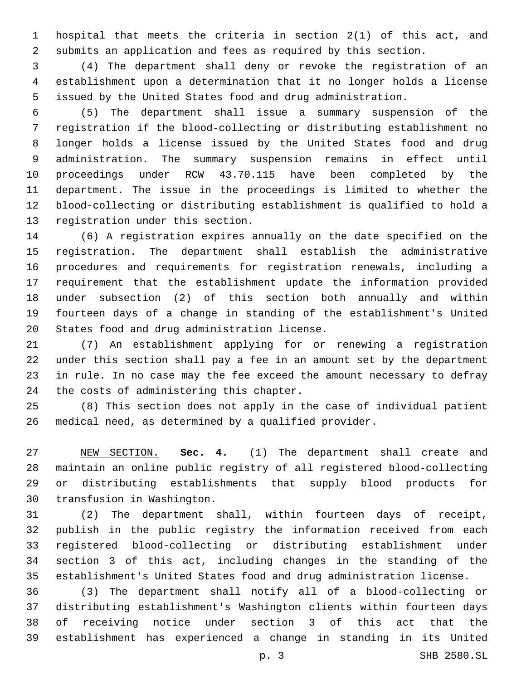hospital that meets the criteria in section 2(1) of this act, and submits an application and fees as required by this section.

 (4) The department shall deny or revoke the registration of an establishment upon a determination that it no longer holds a license issued by the United States food and drug administration.

 (5) The department shall issue a summary suspension of the registration if the blood-collecting or distributing establishment no longer holds a license issued by the United States food and drug administration. The summary suspension remains in effect until proceedings under RCW 43.70.115 have been completed by the department. The issue in the proceedings is limited to whether the blood-collecting or distributing establishment is qualified to hold a 13 registration under this section.

 (6) A registration expires annually on the date specified on the registration. The department shall establish the administrative procedures and requirements for registration renewals, including a requirement that the establishment update the information provided under subsection (2) of this section both annually and within fourteen days of a change in standing of the establishment's United 20 States food and drug administration license.

 (7) An establishment applying for or renewing a registration under this section shall pay a fee in an amount set by the department in rule. In no case may the fee exceed the amount necessary to defray 24 the costs of administering this chapter.

 (8) This section does not apply in the case of individual patient medical need, as determined by a qualified provider.

 NEW SECTION. **Sec. 4.** (1) The department shall create and maintain an online public registry of all registered blood-collecting or distributing establishments that supply blood products for transfusion in Washington.

 (2) The department shall, within fourteen days of receipt, publish in the public registry the information received from each registered blood-collecting or distributing establishment under section 3 of this act, including changes in the standing of the establishment's United States food and drug administration license.

 (3) The department shall notify all of a blood-collecting or distributing establishment's Washington clients within fourteen days of receiving notice under section 3 of this act that the establishment has experienced a change in standing in its United